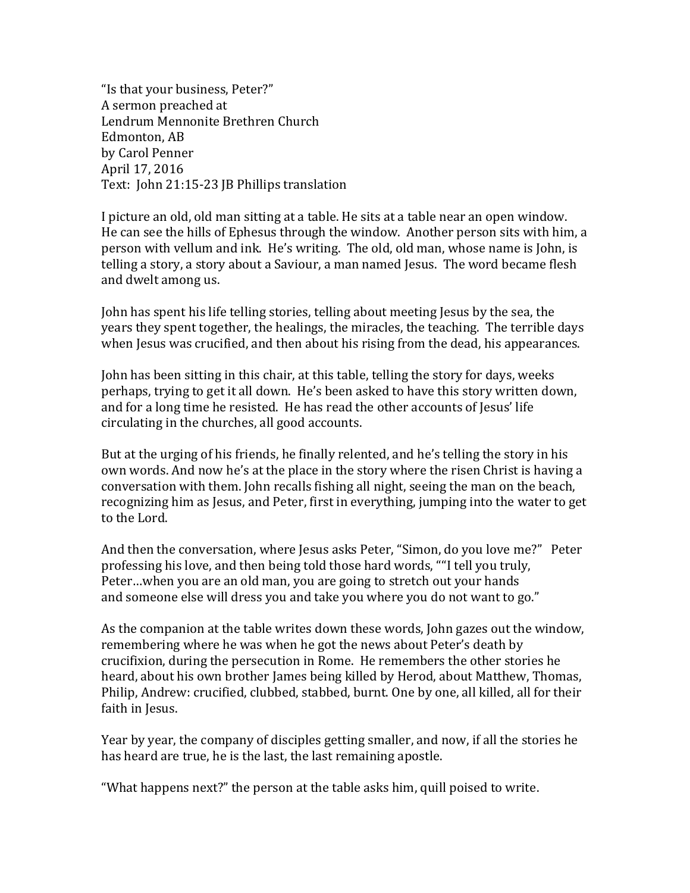"Is that your business, Peter?" A sermon preached at Lendrum Mennonite Brethren Church Edmonton, AB by Carol Penner April 17, 2016 Text: John 21:15-23 JB Phillips translation

I picture an old, old man sitting at a table. He sits at a table near an open window. He can see the hills of Ephesus through the window. Another person sits with him, a person with vellum and ink. He's writing. The old, old man, whose name is John, is telling a story, a story about a Saviour, a man named Jesus. The word became flesh and dwelt among us.

John has spent his life telling stories, telling about meeting Jesus by the sea, the years they spent together, the healings, the miracles, the teaching. The terrible days when Jesus was crucified, and then about his rising from the dead, his appearances.

John has been sitting in this chair, at this table, telling the story for days, weeks perhaps, trying to get it all down. He's been asked to have this story written down, and for a long time he resisted. He has read the other accounts of Jesus' life circulating in the churches, all good accounts.

But at the urging of his friends, he finally relented, and he's telling the story in his own words. And now he's at the place in the story where the risen Christ is having a conversation with them. John recalls fishing all night, seeing the man on the beach, recognizing him as Jesus, and Peter, first in everything, jumping into the water to get to the Lord.

And then the conversation, where Jesus asks Peter, "Simon, do you love me?" Peter professing his love, and then being told those hard words, ""I tell you truly, Peter…when you are an old man, you are going to stretch out your hands and someone else will dress you and take you where you do not want to go."

As the companion at the table writes down these words, John gazes out the window, remembering where he was when he got the news about Peter's death by crucifixion, during the persecution in Rome. He remembers the other stories he heard, about his own brother James being killed by Herod, about Matthew, Thomas, Philip, Andrew: crucified, clubbed, stabbed, burnt. One by one, all killed, all for their faith in Jesus.

Year by year, the company of disciples getting smaller, and now, if all the stories he has heard are true, he is the last, the last remaining apostle.

"What happens next?" the person at the table asks him, quill poised to write.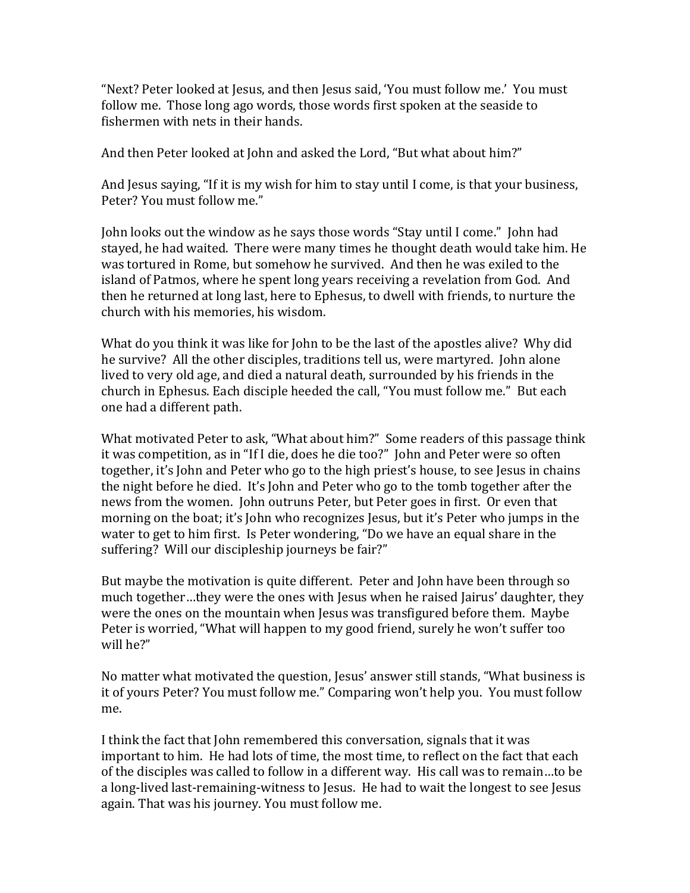"Next? Peter looked at Jesus, and then Jesus said, 'You must follow me.' You must follow me. Those long ago words, those words first spoken at the seaside to fishermen with nets in their hands.

And then Peter looked at John and asked the Lord, "But what about him?"

And Jesus saying, "If it is my wish for him to stay until I come, is that your business, Peter? You must follow me."

John looks out the window as he says those words "Stay until I come." John had stayed, he had waited. There were many times he thought death would take him. He was tortured in Rome, but somehow he survived. And then he was exiled to the island of Patmos, where he spent long years receiving a revelation from God. And then he returned at long last, here to Ephesus, to dwell with friends, to nurture the church with his memories, his wisdom.

What do you think it was like for John to be the last of the apostles alive? Why did he survive? All the other disciples, traditions tell us, were martyred. John alone lived to very old age, and died a natural death, surrounded by his friends in the church in Ephesus. Each disciple heeded the call, "You must follow me." But each one had a different path.

What motivated Peter to ask, "What about him?" Some readers of this passage think it was competition, as in "If I die, does he die too?" John and Peter were so often together, it's John and Peter who go to the high priest's house, to see Jesus in chains the night before he died. It's John and Peter who go to the tomb together after the news from the women. John outruns Peter, but Peter goes in first. Or even that morning on the boat; it's John who recognizes Jesus, but it's Peter who jumps in the water to get to him first. Is Peter wondering, "Do we have an equal share in the suffering? Will our discipleship journeys be fair?"

But maybe the motivation is quite different. Peter and John have been through so much together…they were the ones with Jesus when he raised Jairus' daughter, they were the ones on the mountain when Jesus was transfigured before them. Maybe Peter is worried, "What will happen to my good friend, surely he won't suffer too will he?"

No matter what motivated the question, Jesus' answer still stands, "What business is it of yours Peter? You must follow me." Comparing won't help you. You must follow me.

I think the fact that John remembered this conversation, signals that it was important to him. He had lots of time, the most time, to reflect on the fact that each of the disciples was called to follow in a different way. His call was to remain…to be a long-lived last-remaining-witness to Jesus. He had to wait the longest to see Jesus again. That was his journey. You must follow me.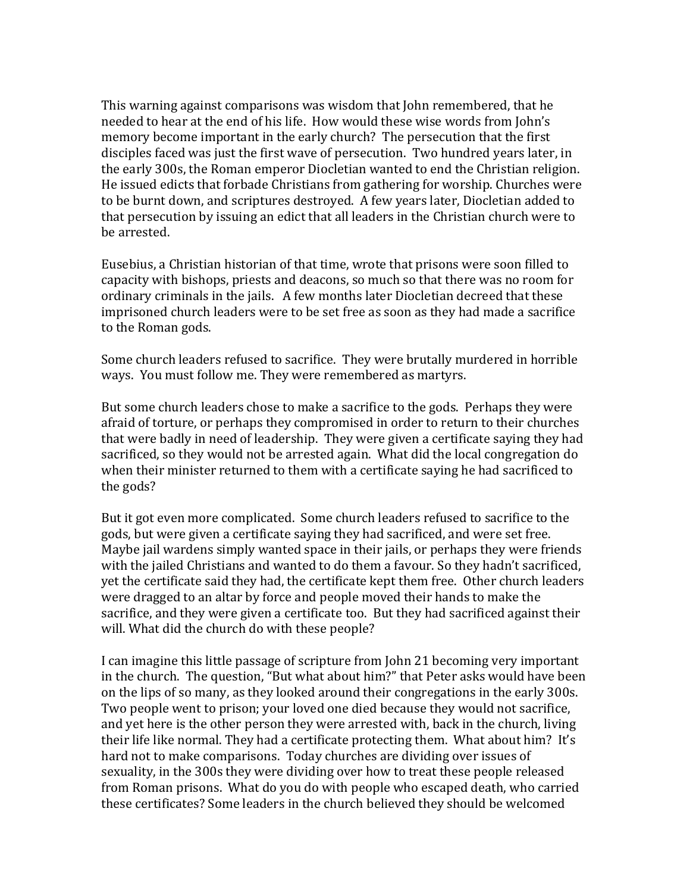This warning against comparisons was wisdom that John remembered, that he needed to hear at the end of his life. How would these wise words from John's memory become important in the early church? The persecution that the first disciples faced was just the first wave of persecution. Two hundred years later, in the early 300s, the Roman emperor Diocletian wanted to end the Christian religion. He issued edicts that forbade Christians from gathering for worship. Churches were to be burnt down, and scriptures destroyed. A few years later, Diocletian added to that persecution by issuing an edict that all leaders in the Christian church were to be arrested.

Eusebius, a Christian historian of that time, wrote that prisons were soon filled to capacity with bishops, priests and deacons, so much so that there was no room for ordinary criminals in the jails. A few months later Diocletian decreed that these imprisoned church leaders were to be set free as soon as they had made a sacrifice to the Roman gods.

Some church leaders refused to sacrifice. They were brutally murdered in horrible ways. You must follow me. They were remembered as martyrs.

But some church leaders chose to make a sacrifice to the gods. Perhaps they were afraid of torture, or perhaps they compromised in order to return to their churches that were badly in need of leadership. They were given a certificate saying they had sacrificed, so they would not be arrested again. What did the local congregation do when their minister returned to them with a certificate saying he had sacrificed to the gods?

But it got even more complicated. Some church leaders refused to sacrifice to the gods, but were given a certificate saying they had sacrificed, and were set free. Maybe jail wardens simply wanted space in their jails, or perhaps they were friends with the jailed Christians and wanted to do them a favour. So they hadn't sacrificed, yet the certificate said they had, the certificate kept them free. Other church leaders were dragged to an altar by force and people moved their hands to make the sacrifice, and they were given a certificate too. But they had sacrificed against their will. What did the church do with these people?

I can imagine this little passage of scripture from John 21 becoming very important in the church. The question, "But what about him?" that Peter asks would have been on the lips of so many, as they looked around their congregations in the early 300s. Two people went to prison; your loved one died because they would not sacrifice, and yet here is the other person they were arrested with, back in the church, living their life like normal. They had a certificate protecting them. What about him? It's hard not to make comparisons. Today churches are dividing over issues of sexuality, in the 300s they were dividing over how to treat these people released from Roman prisons. What do you do with people who escaped death, who carried these certificates? Some leaders in the church believed they should be welcomed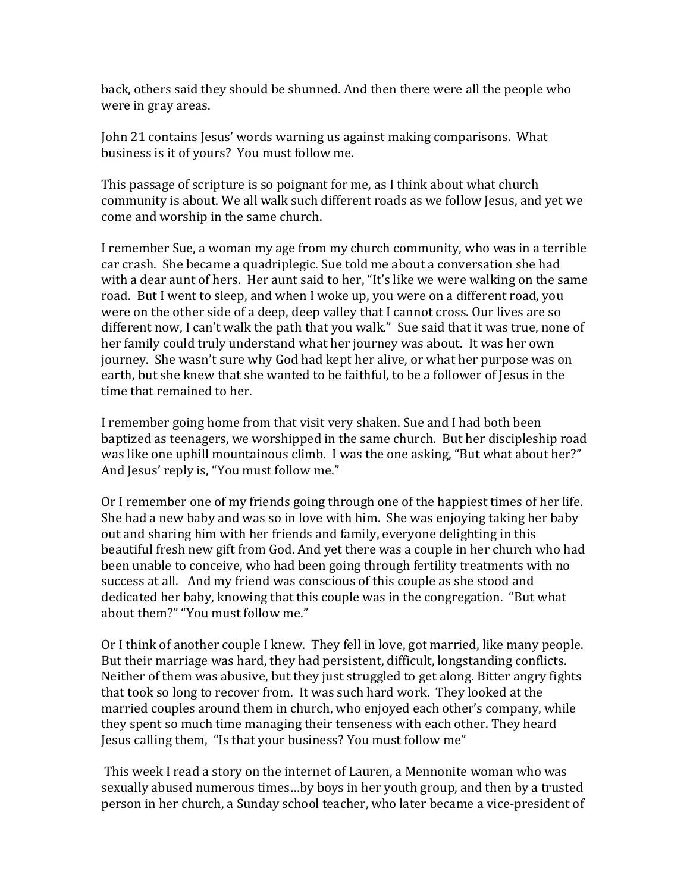back, others said they should be shunned. And then there were all the people who were in gray areas.

John 21 contains Jesus' words warning us against making comparisons. What business is it of yours? You must follow me.

This passage of scripture is so poignant for me, as I think about what church community is about. We all walk such different roads as we follow Jesus, and yet we come and worship in the same church.

I remember Sue, a woman my age from my church community, who was in a terrible car crash. She became a quadriplegic. Sue told me about a conversation she had with a dear aunt of hers. Her aunt said to her, "It's like we were walking on the same road. But I went to sleep, and when I woke up, you were on a different road, you were on the other side of a deep, deep valley that I cannot cross. Our lives are so different now, I can't walk the path that you walk." Sue said that it was true, none of her family could truly understand what her journey was about. It was her own journey. She wasn't sure why God had kept her alive, or what her purpose was on earth, but she knew that she wanted to be faithful, to be a follower of Jesus in the time that remained to her.

I remember going home from that visit very shaken. Sue and I had both been baptized as teenagers, we worshipped in the same church. But her discipleship road was like one uphill mountainous climb. I was the one asking, "But what about her?" And Jesus' reply is, "You must follow me."

Or I remember one of my friends going through one of the happiest times of her life. She had a new baby and was so in love with him. She was enjoying taking her baby out and sharing him with her friends and family, everyone delighting in this beautiful fresh new gift from God. And yet there was a couple in her church who had been unable to conceive, who had been going through fertility treatments with no success at all. And my friend was conscious of this couple as she stood and dedicated her baby, knowing that this couple was in the congregation. "But what about them?" "You must follow me."

Or I think of another couple I knew. They fell in love, got married, like many people. But their marriage was hard, they had persistent, difficult, longstanding conflicts. Neither of them was abusive, but they just struggled to get along. Bitter angry fights that took so long to recover from. It was such hard work. They looked at the married couples around them in church, who enjoyed each other's company, while they spent so much time managing their tenseness with each other. They heard Jesus calling them, "Is that your business? You must follow me"

This week I read a story on the internet of Lauren, a Mennonite woman who was sexually abused numerous times…by boys in her youth group, and then by a trusted person in her church, a Sunday school teacher, who later became a vice-president of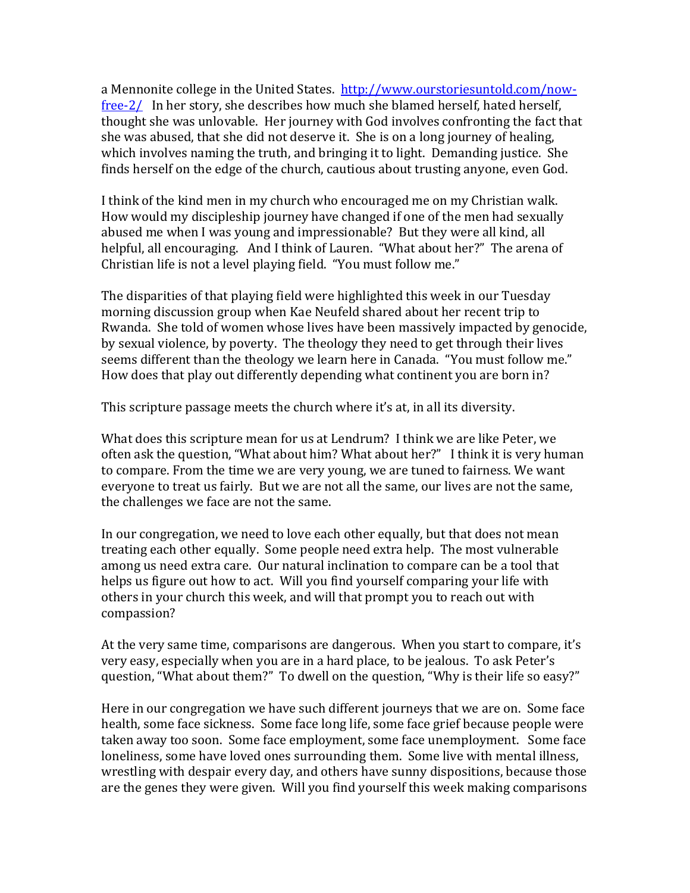a Mennonite college in the United States. [http://www.ourstoriesuntold.com/now](http://www.ourstoriesuntold.com/now-free-2/)[free-2/](http://www.ourstoriesuntold.com/now-free-2/) In her story, she describes how much she blamed herself, hated herself, thought she was unlovable. Her journey with God involves confronting the fact that she was abused, that she did not deserve it. She is on a long journey of healing, which involves naming the truth, and bringing it to light. Demanding justice. She finds herself on the edge of the church, cautious about trusting anyone, even God.

I think of the kind men in my church who encouraged me on my Christian walk. How would my discipleship journey have changed if one of the men had sexually abused me when I was young and impressionable? But they were all kind, all helpful, all encouraging. And I think of Lauren. "What about her?" The arena of Christian life is not a level playing field. "You must follow me."

The disparities of that playing field were highlighted this week in our Tuesday morning discussion group when Kae Neufeld shared about her recent trip to Rwanda. She told of women whose lives have been massively impacted by genocide, by sexual violence, by poverty. The theology they need to get through their lives seems different than the theology we learn here in Canada. "You must follow me." How does that play out differently depending what continent you are born in?

This scripture passage meets the church where it's at, in all its diversity.

What does this scripture mean for us at Lendrum? I think we are like Peter, we often ask the question, "What about him? What about her?" I think it is very human to compare. From the time we are very young, we are tuned to fairness. We want everyone to treat us fairly. But we are not all the same, our lives are not the same, the challenges we face are not the same.

In our congregation, we need to love each other equally, but that does not mean treating each other equally. Some people need extra help. The most vulnerable among us need extra care. Our natural inclination to compare can be a tool that helps us figure out how to act. Will you find yourself comparing your life with others in your church this week, and will that prompt you to reach out with compassion?

At the very same time, comparisons are dangerous. When you start to compare, it's very easy, especially when you are in a hard place, to be jealous. To ask Peter's question, "What about them?" To dwell on the question, "Why is their life so easy?"

Here in our congregation we have such different journeys that we are on. Some face health, some face sickness. Some face long life, some face grief because people were taken away too soon. Some face employment, some face unemployment. Some face loneliness, some have loved ones surrounding them. Some live with mental illness, wrestling with despair every day, and others have sunny dispositions, because those are the genes they were given. Will you find yourself this week making comparisons